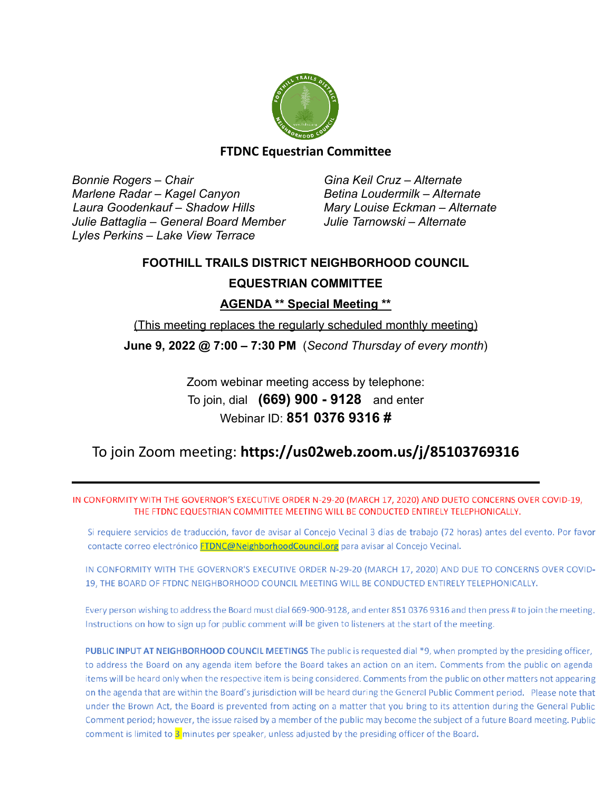

#### **FTDNC Equestrian Committee**

*Bonnie Rogers – Chair Gina Keil Cruz – Alternate Marlene Radar – Kagel Canyon Betina Loudermilk – Alternate Laura Goodenkauf – Shadow Hills Mary Louise Eckman – Alternate Julie Battaglia – General Board Member Julie Tarnowski – Alternate Lyles Perkins – Lake View Terrace*

# **FOOTHILL TRAILS DISTRICT NEIGHBORHOOD COUNCIL**

# **EQUESTRIAN COMMITTEE**

**AGENDA \*\* Special Meeting \*\***

(This meeting replaces the regularly scheduled monthly meeting)

**June 9, 2022 @ 7:00 – 7:30 PM** (*Second Thursday of every month*)

Zoom webinar meeting access by telephone: To join, dial **(669) 900 - 9128** and enter Webinar ID: **851 0376 9316 #**

# To join Zoom meeting: **<https://us02web.zoom.us/j/85103769316>**

IN CONFORMITY WITH THE GOVERNOR'S EXECUTIVE ORDER N-29-20 (MARCH 17, 2020) AND DUETO CONCERNS OVER COVID-19, THE FTDNC EQUESTRIAN COMMITTEE MEETING WILL BE CONDUCTED ENTIRELY TELEPHONICALLY.

Si requiere servicios de traducción, favor de avisar al Concejo Vecinal 3 días de trabajo (72 horas) antes del evento. Por favor contacte correo electrónico FTDNC@NeighborhoodCouncil.org para avisar al Concejo Vecinal.

IN CONFORMITY WITH THE GOVERNOR'S EXECUTIVE ORDER N-29-20 (MARCH 17, 2020) AND DUE TO CONCERNS OVER COVID-19. THE BOARD OF FTDNC NEIGHBORHOOD COUNCIL MEETING WILL BE CONDUCTED ENTIRELY TELEPHONICALLY.

Every person wishing to address the Board must dial 669-900-9128, and enter 851 0376 9316 and then press # to join the meeting. Instructions on how to sign up for public comment will be given to listeners at the start of the meeting.

PUBLIC INPUT AT NEIGHBORHOOD COUNCIL MEETINGS The public is requested dial \*9, when prompted by the presiding officer, to address the Board on any agenda item before the Board takes an action on an item. Comments from the public on agenda items will be heard only when the respective item is being considered. Comments from the public on other matters not appearing on the agenda that are within the Board's jurisdiction will be heard during the General Public Comment period. Please note that under the Brown Act, the Board is prevented from acting on a matter that you bring to its attention during the General Public Comment period; however, the issue raised by a member of the public may become the subject of a future Board meeting. Public comment is limited to 3 minutes per speaker, unless adjusted by the presiding officer of the Board.